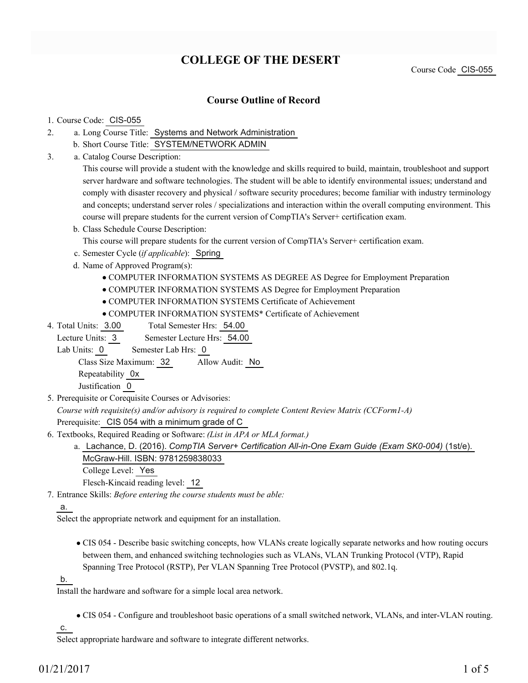# **COLLEGE OF THE DESERT**

Course Code CIS-055

# **Course Outline of Record**

#### 1. Course Code: CIS-055

- a. Long Course Title: Systems and Network Administration 2.
	- b. Short Course Title: SYSTEM/NETWORK ADMIN
- Catalog Course Description: a. 3.

This course will provide a student with the knowledge and skills required to build, maintain, troubleshoot and support server hardware and software technologies. The student will be able to identify environmental issues; understand and comply with disaster recovery and physical / software security procedures; become familiar with industry terminology and concepts; understand server roles / specializations and interaction within the overall computing environment. This course will prepare students for the current version of CompTIA's Server+ certification exam.

b. Class Schedule Course Description:

This course will prepare students for the current version of CompTIA's Server+ certification exam.

- c. Semester Cycle (*if applicable*): Spring
- d. Name of Approved Program(s):
	- COMPUTER INFORMATION SYSTEMS AS DEGREE AS Degree for Employment Preparation
	- COMPUTER INFORMATION SYSTEMS AS Degree for Employment Preparation
	- COMPUTER INFORMATION SYSTEMS Certificate of Achievement
	- COMPUTER INFORMATION SYSTEMS\* Certificate of Achievement
- Total Semester Hrs: 54.00 4. Total Units: 3.00
	- Lecture Units: 3 Semester Lecture Hrs: 54.00
	- Lab Units: 0 Semester Lab Hrs: 0

Class Size Maximum: 32 Allow Audit: No

Repeatability 0x

- Justification 0
- 5. Prerequisite or Corequisite Courses or Advisories:

*Course with requisite(s) and/or advisory is required to complete Content Review Matrix (CCForm1-A)* Prerequisite: CIS 054 with a minimum grade of C

- Textbooks, Required Reading or Software: *(List in APA or MLA format.)* 6.
	- Lachance, D. (2016). *CompTIA Server+ Certification All-in-One Exam Guide (Exam SK0-004)* (1st/e). a. McGraw-Hill. ISBN: 9781259838033
		- College Level: Yes

Flesch-Kincaid reading level: 12

Entrance Skills: *Before entering the course students must be able:* 7.

# a.

Select the appropriate network and equipment for an installation.

CIS 054 - Describe basic switching concepts, how VLANs create logically separate networks and how routing occurs between them, and enhanced switching technologies such as VLANs, VLAN Trunking Protocol (VTP), Rapid Spanning Tree Protocol (RSTP), Per VLAN Spanning Tree Protocol (PVSTP), and 802.1q.

b.

Install the hardware and software for a simple local area network.

CIS 054 - Configure and troubleshoot basic operations of a small switched network, VLANs, and inter-VLAN routing.

#### c.

Select appropriate hardware and software to integrate different networks.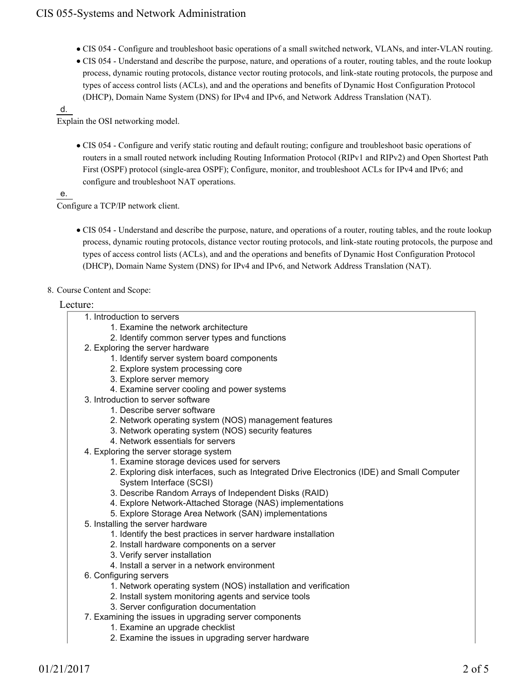- CIS 054 Configure and troubleshoot basic operations of a small switched network, VLANs, and inter-VLAN routing.
- CIS 054 Understand and describe the purpose, nature, and operations of a router, routing tables, and the route lookup process, dynamic routing protocols, distance vector routing protocols, and link-state routing protocols, the purpose and types of access control lists (ACLs), and and the operations and benefits of Dynamic Host Configuration Protocol (DHCP), Domain Name System (DNS) for IPv4 and IPv6, and Network Address Translation (NAT).

#### d.

Explain the OSI networking model.

CIS 054 - Configure and verify static routing and default routing; configure and troubleshoot basic operations of routers in a small routed network including Routing Information Protocol (RIPv1 and RIPv2) and Open Shortest Path First (OSPF) protocol (single-area OSPF); Configure, monitor, and troubleshoot ACLs for IPv4 and IPv6; and configure and troubleshoot NAT operations.

e.

Configure a TCP/IP network client.

CIS 054 - Understand and describe the purpose, nature, and operations of a router, routing tables, and the route lookup process, dynamic routing protocols, distance vector routing protocols, and link-state routing protocols, the purpose and types of access control lists (ACLs), and and the operations and benefits of Dynamic Host Configuration Protocol (DHCP), Domain Name System (DNS) for IPv4 and IPv6, and Network Address Translation (NAT).

### 8. Course Content and Scope:

### Lecture:

|  | 1. Introduction to servers |  |
|--|----------------------------|--|
|--|----------------------------|--|

- 1. Examine the network architecture
- 2. Identify common server types and functions
- 2. Exploring the server hardware
	- 1. Identify server system board components
	- 2. Explore system processing core
	- 3. Explore server memory
	- 4. Examine server cooling and power systems
- 3. Introduction to server software
	- 1. Describe server software
	- 2. Network operating system (NOS) management features
	- 3. Network operating system (NOS) security features
- 4. Network essentials for servers
- 4. Exploring the server storage system
	- 1. Examine storage devices used for servers
	- Exploring disk interfaces, such as Integrated Drive Electronics (IDE) and Small Computer 2. System Interface (SCSI)
	- 3. Describe Random Arrays of Independent Disks (RAID)
	- 4. Explore Network-Attached Storage (NAS) implementations
	- 5. Explore Storage Area Network (SAN) implementations
- 5. Installing the server hardware
	- 1. Identify the best practices in server hardware installation
	- 2. Install hardware components on a server
	- 3. Verify server installation
	- 4. Install a server in a network environment
- 6. Configuring servers
	- 1. Network operating system (NOS) installation and verification
	- 2. Install system monitoring agents and service tools
	- 3. Server configuration documentation
- 7. Examining the issues in upgrading server components
	- 1. Examine an upgrade checklist
	- 2. Examine the issues in upgrading server hardware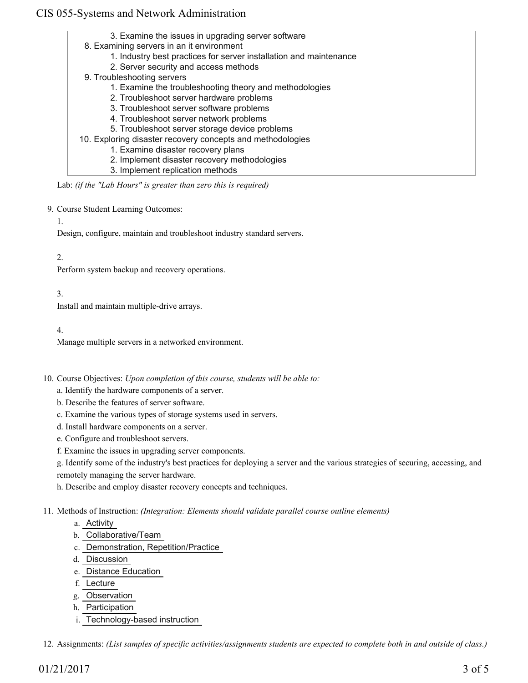# CIS 055-Systems and Network Administration

3. Examine the issues in upgrading server software 8. Examining servers in an it environment 1. Industry best practices for server installation and maintenance 2. Server security and access methods 9. Troubleshooting servers 1. Examine the troubleshooting theory and methodologies 2. Troubleshoot server hardware problems 3. Troubleshoot server software problems 4. Troubleshoot server network problems 5. Troubleshoot server storage device problems 10. Exploring disaster recovery concepts and methodologies 1. Examine disaster recovery plans 2. Implement disaster recovery methodologies 3. Implement replication methods

Lab: *(if the "Lab Hours" is greater than zero this is required)*

9. Course Student Learning Outcomes:

1.

Design, configure, maintain and troubleshoot industry standard servers.

2.

Perform system backup and recovery operations.

3.

Install and maintain multiple-drive arrays.

4.

Manage multiple servers in a networked environment.

10. Course Objectives: Upon completion of this course, students will be able to:

a. Identify the hardware components of a server.

b. Describe the features of server software.

c. Examine the various types of storage systems used in servers.

d. Install hardware components on a server.

e. Configure and troubleshoot servers.

f. Examine the issues in upgrading server components.

g. Identify some of the industry's best practices for deploying a server and the various strategies of securing, accessing, and remotely managing the server hardware.

h. Describe and employ disaster recovery concepts and techniques.

Methods of Instruction: *(Integration: Elements should validate parallel course outline elements)* 11.

- a. Activity
- b. Collaborative/Team
- c. Demonstration, Repetition/Practice
- d. Discussion
- e. Distance Education
- f. Lecture
- g. Observation
- h. Participation
- i. Technology-based instruction

12. Assignments: *(List samples of specific activities/assignments students are expected to complete both in and outside of class.)*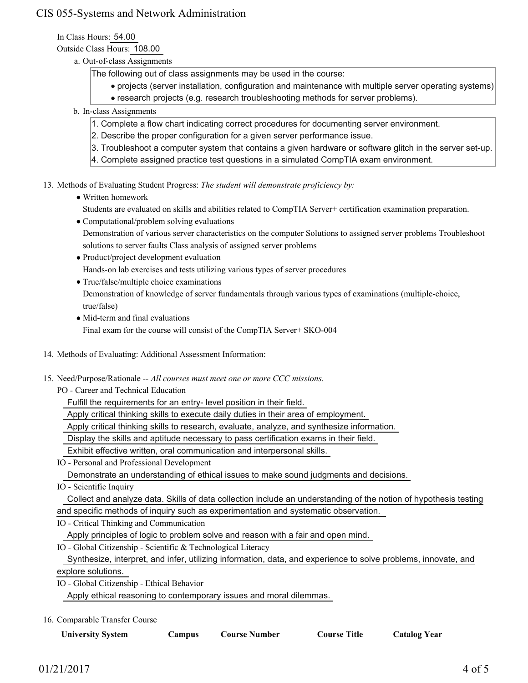# CIS 055-Systems and Network Administration

In Class Hours: 54.00

Outside Class Hours: 108.00

a. Out-of-class Assignments

The following out of class assignments may be used in the course:

- projects (server installation, configuration and maintenance with multiple server operating systems)
	- research projects (e.g. research troubleshooting methods for server problems).
- b. In-class Assignments
	- 1. Complete a flow chart indicating correct procedures for documenting server environment.
	- 2. Describe the proper configuration for a given server performance issue.
	- 3. Troubleshoot a computer system that contains a given hardware or software glitch in the server set-up.
	- 4. Complete assigned practice test questions in a simulated CompTIA exam environment.

13. Methods of Evaluating Student Progress: The student will demonstrate proficiency by:

- Written homework
- Students are evaluated on skills and abilities related to CompTIA Server+ certification examination preparation.
- Computational/problem solving evaluations

Demonstration of various server characteristics on the computer Solutions to assigned server problems Troubleshoot solutions to server faults Class analysis of assigned server problems

- Product/project development evaluation Hands-on lab exercises and tests utilizing various types of server procedures
- True/false/multiple choice examinations Demonstration of knowledge of server fundamentals through various types of examinations (multiple-choice, true/false)
- Mid-term and final evaluations Final exam for the course will consist of the CompTIA Server+ SKO-004
- 14. Methods of Evaluating: Additional Assessment Information:
- 15. Need/Purpose/Rationale -- All courses must meet one or more CCC missions.
	- PO Career and Technical Education

Fulfill the requirements for an entry- level position in their field.

Apply critical thinking skills to execute daily duties in their area of employment.

Apply critical thinking skills to research, evaluate, analyze, and synthesize information.

Display the skills and aptitude necessary to pass certification exams in their field.

Exhibit effective written, oral communication and interpersonal skills.

IO - Personal and Professional Development

Demonstrate an understanding of ethical issues to make sound judgments and decisions.

IO - Scientific Inquiry

Collect and analyze data. Skills of data collection include an understanding of the notion of hypothesis testing

and specific methods of inquiry such as experimentation and systematic observation.

IO - Critical Thinking and Communication

Apply principles of logic to problem solve and reason with a fair and open mind.

IO - Global Citizenship - Scientific & Technological Literacy

 Synthesize, interpret, and infer, utilizing information, data, and experience to solve problems, innovate, and explore solutions.

IO - Global Citizenship - Ethical Behavior

Apply ethical reasoning to contemporary issues and moral dilemmas.

16. Comparable Transfer Course

| <b>University System</b> |  |
|--------------------------|--|
|--------------------------|--|